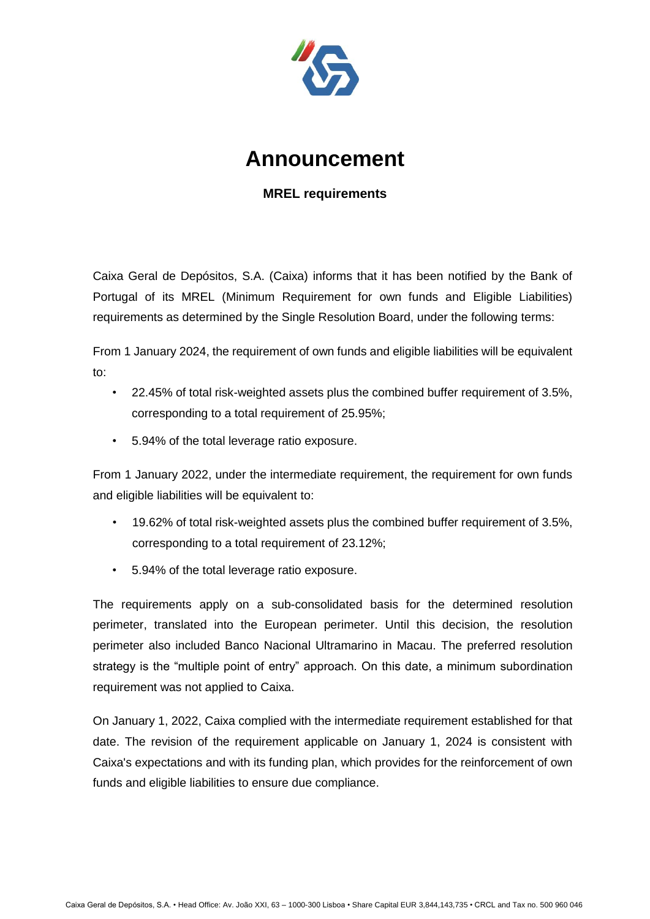

## **Announcement**

## **MREL requirements**

Caixa Geral de Depósitos, S.A. (Caixa) informs that it has been notified by the Bank of Portugal of its MREL (Minimum Requirement for own funds and Eligible Liabilities) requirements as determined by the Single Resolution Board, under the following terms:

From 1 January 2024, the requirement of own funds and eligible liabilities will be equivalent to:

- 22.45% of total risk-weighted assets plus the combined buffer requirement of 3.5%, corresponding to a total requirement of 25.95%;
- 5.94% of the total leverage ratio exposure.

From 1 January 2022, under the intermediate requirement, the requirement for own funds and eligible liabilities will be equivalent to:

- 19.62% of total risk-weighted assets plus the combined buffer requirement of 3.5%, corresponding to a total requirement of 23.12%;
- 5.94% of the total leverage ratio exposure.

The requirements apply on a sub-consolidated basis for the determined resolution perimeter, translated into the European perimeter. Until this decision, the resolution perimeter also included Banco Nacional Ultramarino in Macau. The preferred resolution strategy is the "multiple point of entry" approach. On this date, a minimum subordination requirement was not applied to Caixa.

On January 1, 2022, Caixa complied with the intermediate requirement established for that date. The revision of the requirement applicable on January 1, 2024 is consistent with Caixa's expectations and with its funding plan, which provides for the reinforcement of own funds and eligible liabilities to ensure due compliance.